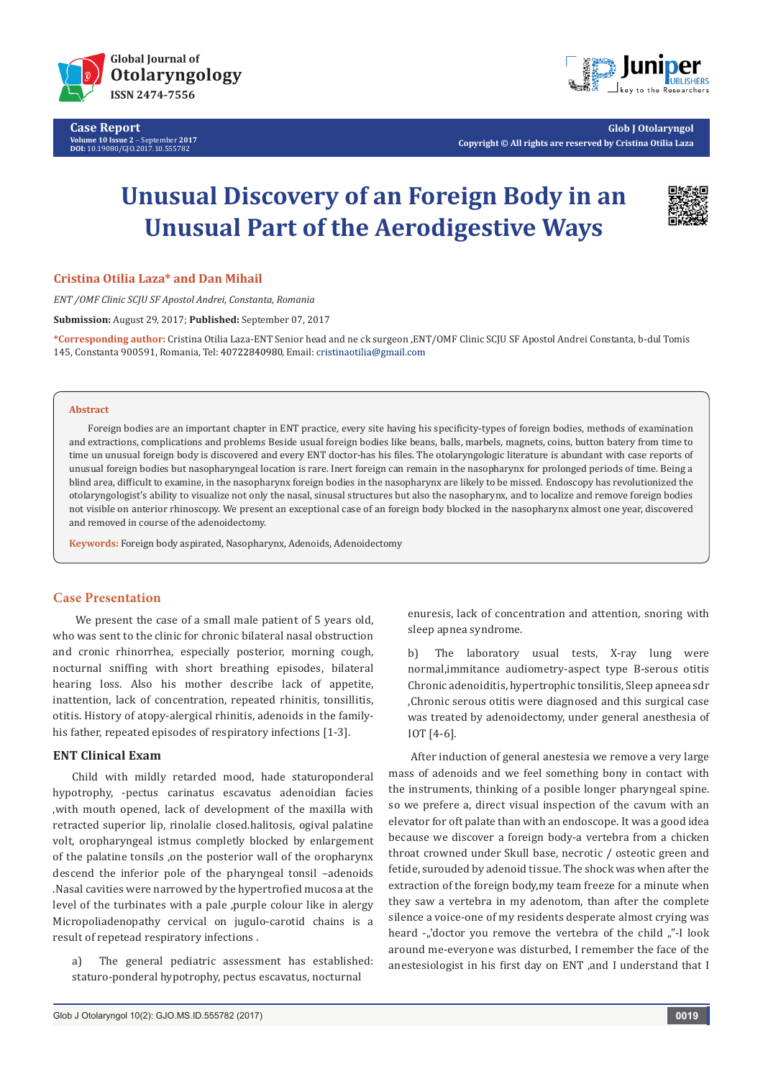

**Case Report Volume 10 Issue 2** - September **2017 DOI:** [10.19080/GJO.2017.10.555782](http://dx.doi.org/10.19080/GJO.2017.10.555782)



**Glob J Otolaryngol Copyright © All rights are reserved by Cristina Otilia Laza**

# **Unusual Discovery of an Foreign Body in an Unusual Part of the Aerodigestive Ways**



## **Cristina Otilia Laza\* and Dan Mihail**

*ENT /OMF Clinic SCJU SF Apostol Andrei, Constanta, Romania*

**Submission:** August 29, 2017; **Published:** September 07, 2017

**\*Corresponding author:** Cristina Otilia Laza-ENT Senior head and ne ck surgeon ,ENT/OMF Clinic SCJU SF Apostol Andrei Constanta, b-dul Tomis 145, Constanta 900591, Romania, Tel: 40722840980, Email: cristinaotilia@gmail.com

#### **Abstract**

Foreign bodies are an important chapter in ENT practice, every site having his specificity-types of foreign bodies, methods of examination and extractions, complications and problems Beside usual foreign bodies like beans, balls, marbels, magnets, coins, button batery from time to time un unusual foreign body is discovered and every ENT doctor-has his files. The otolaryngologic literature is abundant with case reports of unusual foreign bodies but nasopharyngeal location is rare. Inert foreign can remain in the nasopharynx for prolonged periods of time. Being a blind area, difficult to examine, in the nasopharynx foreign bodies in the nasopharynx are likely to be missed. Endoscopy has revolutionized the otolaryngologist's ability to visualize not only the nasal, sinusal structures but also the nasopharynx, and to localize and remove foreign bodies not visible on anterior rhinoscopy. We present an exceptional case of an foreign body blocked in the nasopharynx almost one year, discovered and removed in course of the adenoidectomy.

**Keywords:** Foreign body aspirated, Nasopharynx, Adenoids, Adenoidectomy

# **Case Presentation**

We present the case of a small male patient of 5 years old. who was sent to the clinic for chronic bilateral nasal obstruction and cronic rhinorrhea, especially posterior, morning cough, nocturnal sniffing with short breathing episodes, bilateral hearing loss. Also his mother describe lack of appetite, inattention, lack of concentration, repeated rhinitis, tonsillitis, otitis. History of atopy-alergical rhinitis, adenoids in the familyhis father, repeated episodes of respiratory infections [1-3].

# **ENT Clinical Exam**

Child with mildly retarded mood, hade staturoponderal hypotrophy, -pectus carinatus escavatus adenoidian facies ,with mouth opened, lack of development of the maxilla with retracted superior lip, rinolalie closed.halitosis, ogival palatine volt, oropharyngeal istmus completly blocked by enlargement of the palatine tonsils ,on the posterior wall of the oropharynx descend the inferior pole of the pharyngeal tonsil –adenoids .Nasal cavities were narrowed by the hypertrofied mucosa at the level of the turbinates with a pale ,purple colour like in alergy Micropoliadenopathy cervical on jugulo-carotid chains is a result of repetead respiratory infections .

a) The general pediatric assessment has established: staturo-ponderal hypotrophy, pectus escavatus, nocturnal

enuresis, lack of concentration and attention, snoring with sleep apnea syndrome.

b) The laboratory usual tests, X-ray lung were normal,immitance audiometry-aspect type B-serous otitis Chronic adenoiditis, hypertrophic tonsilitis, Sleep apneea sdr ,Chronic serous otitis were diagnosed and this surgical case was treated by adenoidectomy, under general anesthesia of IOT [4-6].

 After induction of general anestesia we remove a very large mass of adenoids and we feel something bony in contact with the instruments, thinking of a posible longer pharyngeal spine. so we prefere a, direct visual inspection of the cavum with an elevator for oft palate than with an endoscope. It was a good idea because we discover a foreign body-a vertebra from a chicken throat crowned under Skull base, necrotic / osteotic green and fetide, surouded by adenoid tissue. The shock was when after the extraction of the foreign body,my team freeze for a minute when they saw a vertebra in my adenotom, than after the complete silence a voice-one of my residents desperate almost crying was heard - "doctor you remove the vertebra of the child "-I look around me-everyone was disturbed, I remember the face of the anestesiologist in his first day on ENT ,and I understand that I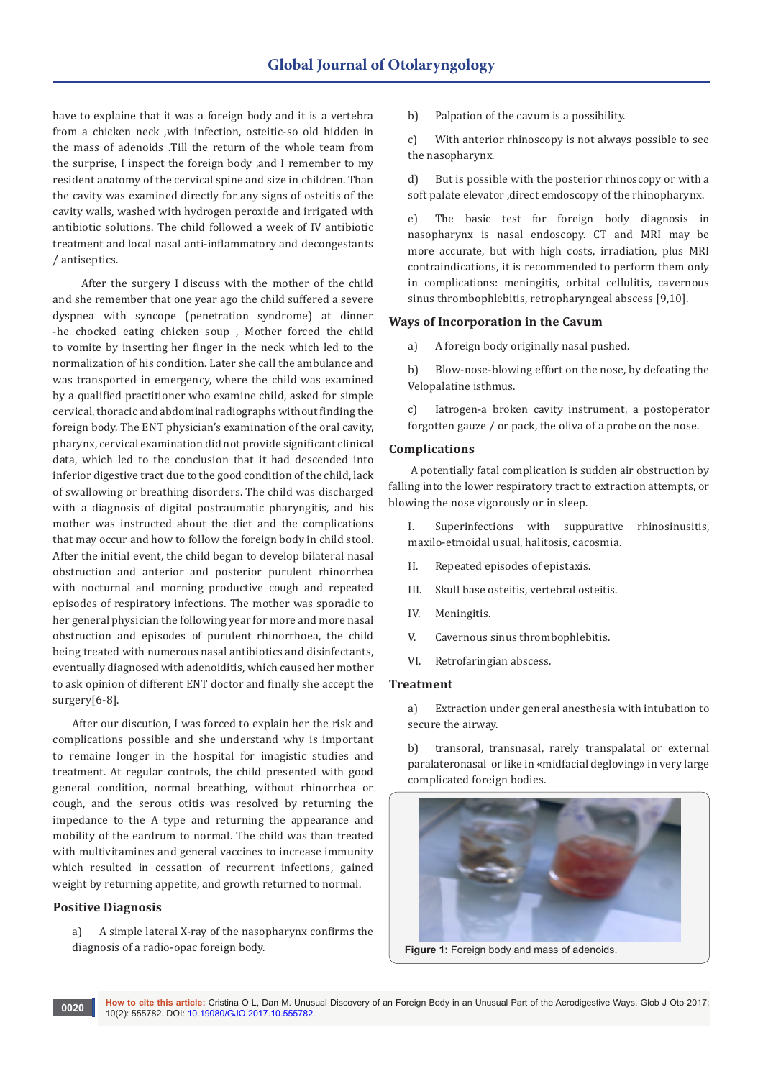have to explaine that it was a foreign body and it is a vertebra from a chicken neck ,with infection, osteitic-so old hidden in the mass of adenoids .Till the return of the whole team from the surprise, I inspect the foreign body ,and I remember to my resident anatomy of the cervical spine and size in children. Than the cavity was examined directly for any signs of osteitis of the cavity walls, washed with hydrogen peroxide and irrigated with antibiotic solutions. The child followed a week of IV antibiotic treatment and local nasal anti-inflammatory and decongestants / antiseptics.

 After the surgery I discuss with the mother of the child and she remember that one year ago the child suffered a severe dyspnea with syncope (penetration syndrome) at dinner -he chocked eating chicken soup , Mother forced the child to vomite by inserting her finger in the neck which led to the normalization of his condition. Later she call the ambulance and was transported in emergency, where the child was examined by a qualified practitioner who examine child, asked for simple cervical, thoracic and abdominal radiographs without finding the foreign body. The ENT physician's examination of the oral cavity, pharynx, cervical examination did not provide significant clinical data, which led to the conclusion that it had descended into inferior digestive tract due to the good condition of the child, lack of swallowing or breathing disorders. The child was discharged with a diagnosis of digital postraumatic pharyngitis, and his mother was instructed about the diet and the complications that may occur and how to follow the foreign body in child stool. After the initial event, the child began to develop bilateral nasal obstruction and anterior and posterior purulent rhinorrhea with nocturnal and morning productive cough and repeated episodes of respiratory infections. The mother was sporadic to her general physician the following year for more and more nasal obstruction and episodes of purulent rhinorrhoea, the child being treated with numerous nasal antibiotics and disinfectants, eventually diagnosed with adenoiditis, which caused her mother to ask opinion of different ENT doctor and finally she accept the surgery[6-8].

After our discution, I was forced to explain her the risk and complications possible and she understand why is important to remaine longer in the hospital for imagistic studies and treatment. At regular controls, the child presented with good general condition, normal breathing, without rhinorrhea or cough, and the serous otitis was resolved by returning the impedance to the A type and returning the appearance and mobility of the eardrum to normal. The child was than treated with multivitamines and general vaccines to increase immunity which resulted in cessation of recurrent infections, gained weight by returning appetite, and growth returned to normal.

# **Positive Diagnosis**

a) A simple lateral X-ray of the nasopharynx confirms the diagnosis of a radio-opac foreign body.

b) Palpation of the cavum is a possibility.

c) With anterior rhinoscopy is not always possible to see the nasopharynx.

d) But is possible with the posterior rhinoscopy or with a soft palate elevator ,direct emdoscopy of the rhinopharynx.

e) The basic test for foreign body diagnosis in nasopharynx is nasal endoscopy. CT and MRI may be more accurate, but with high costs, irradiation, plus MRI contraindications, it is recommended to perform them only in complications: meningitis, orbital cellulitis, cavernous sinus thrombophlebitis, retropharyngeal abscess [9,10].

## **Ways of Incorporation in the Cavum**

a) A foreign body originally nasal pushed.

b) Blow-nose-blowing effort on the nose, by defeating the Velopalatine isthmus.

c) Iatrogen-a broken cavity instrument, a postoperator forgotten gauze / or pack, the oliva of a probe on the nose.

## **Complications**

 A potentially fatal complication is sudden air obstruction by falling into the lower respiratory tract to extraction attempts, or blowing the nose vigorously or in sleep.

I. Superinfections with suppurative rhinosinusitis, maxilo-etmoidal usual, halitosis, cacosmia.

- II. Repeated episodes of epistaxis.
- III. Skull base osteitis, vertebral osteitis.
- IV. Meningitis.
- V. Cavernous sinus thrombophlebitis.
- VI. Retrofaringian abscess.

#### **Treatment**

a) Extraction under general anesthesia with intubation to secure the airway.

b) transoral, transnasal, rarely transpalatal or external paralateronasal or like in «midfacial degloving» in very large complicated foreign bodies.

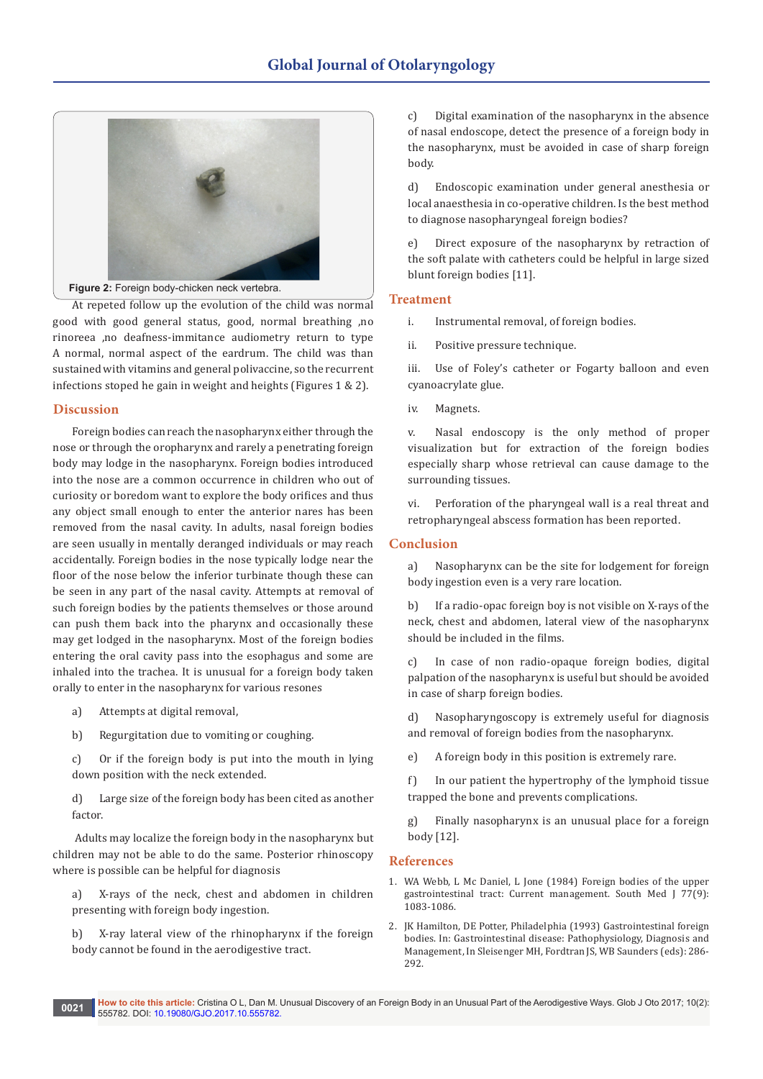

**Figure 2:** Foreign body-chicken neck vertebra.

At repeted follow up the evolution of the child was normal good with good general status, good, normal breathing ,no rinoreea ,no deafness-immitance audiometry return to type A normal, normal aspect of the eardrum. The child was than sustained with vitamins and general polivaccine, so the recurrent infections stoped he gain in weight and heights (Figures 1 & 2).

### **Discussion**

Foreign bodies can reach the nasopharynx either through the nose or through the oropharynx and rarely a penetrating foreign body may lodge in the nasopharynx. Foreign bodies introduced into the nose are a common occurrence in children who out of curiosity or boredom want to explore the body orifices and thus any object small enough to enter the anterior nares has been removed from the nasal cavity. In adults, nasal foreign bodies are seen usually in mentally deranged individuals or may reach accidentally. Foreign bodies in the nose typically lodge near the floor of the nose below the inferior turbinate though these can be seen in any part of the nasal cavity. Attempts at removal of such foreign bodies by the patients themselves or those around can push them back into the pharynx and occasionally these may get lodged in the nasopharynx. Most of the foreign bodies entering the oral cavity pass into the esophagus and some are inhaled into the trachea. It is unusual for a foreign body taken orally to enter in the nasopharynx for various resones

- a) Attempts at digital removal,
- b) Regurgitation due to vomiting or coughing.

c) Or if the foreign body is put into the mouth in lying down position with the neck extended.

d) Large size of the foreign body has been cited as another factor.

 Adults may localize the foreign body in the nasopharynx but children may not be able to do the same. Posterior rhinoscopy where is possible can be helpful for diagnosis

a) X-rays of the neck, chest and abdomen in children presenting with foreign body ingestion.

b) X-ray lateral view of the rhinopharynx if the foreign body cannot be found in the aerodigestive tract.

c) Digital examination of the nasopharynx in the absence of nasal endoscope, detect the presence of a foreign body in the nasopharynx, must be avoided in case of sharp foreign body.

d) Endoscopic examination under general anesthesia or local anaesthesia in co-operative children. Is the best method to diagnose nasopharyngeal foreign bodies?

e) Direct exposure of the nasopharynx by retraction of the soft palate with catheters could be helpful in large sized blunt foreign bodies [11].

#### **Treatment**

- i. Instrumental removal, of foreign bodies.
- ii. Positive pressure technique.

iii. Use of Foley's catheter or Fogarty balloon and even cyanoacrylate glue.

iv. Magnets.

v. Nasal endoscopy is the only method of proper visualization but for extraction of the foreign bodies especially sharp whose retrieval can cause damage to the surrounding tissues.

vi. Perforation of the pharyngeal wall is a real threat and retropharyngeal abscess formation has been reported.

## **Conclusion**

a) Nasopharynx can be the site for lodgement for foreign body ingestion even is a very rare location.

b) If a radio-opac foreign boy is not visible on X-rays of the neck, chest and abdomen, lateral view of the nasopharynx should be included in the films.

c) In case of non radio-opaque foreign bodies, digital palpation of the nasopharynx is useful but should be avoided in case of sharp foreign bodies.

d) Nasopharyngoscopy is extremely useful for diagnosis and removal of foreign bodies from the nasopharynx.

e) A foreign body in this position is extremely rare.

f) In our patient the hypertrophy of the lymphoid tissue trapped the bone and prevents complications.

g) Finally nasopharynx is an unusual place for a foreign body [12].

#### **References**

- 1. WA Webb, L Mc Daniel, L Jone (1984) Foreign bodies of the upper gastrointestinal tract: Current management. South Med J 77(9): 1083-1086.
- 2. JK Hamilton, DE Potter, Philadelphia (1993) Gastrointestinal foreign bodies. In: Gastrointestinal disease: Pathophysiology, Diagnosis and Management, In Sleisenger MH, Fordtran JS, WB Saunders (eds): 286- 292.